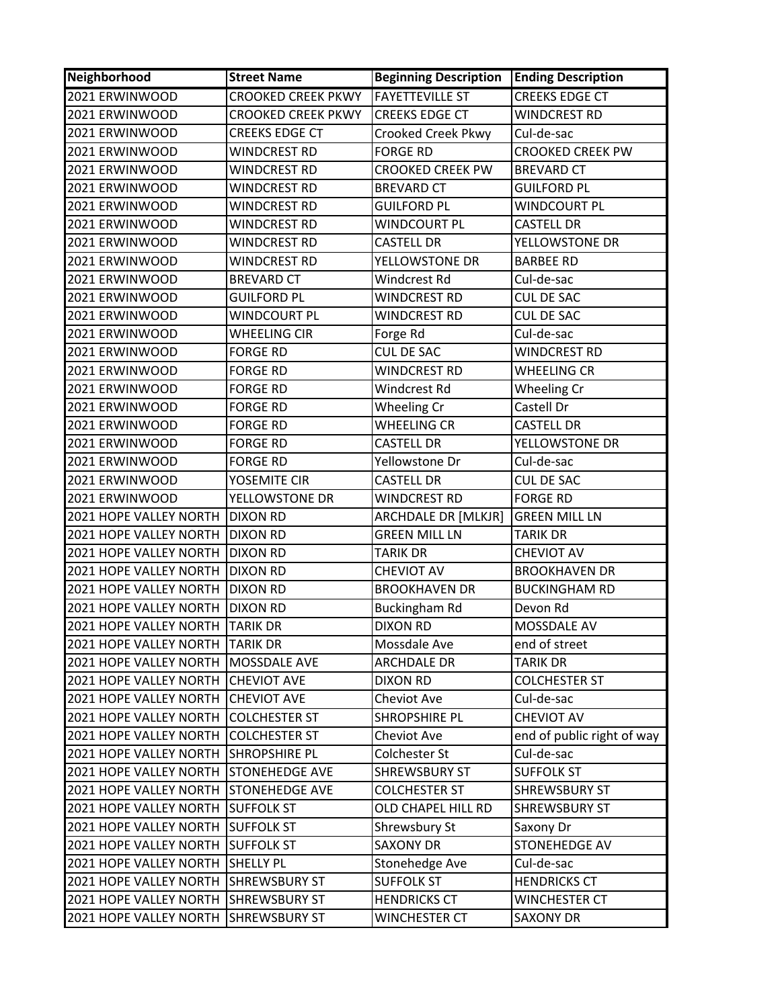| Neighborhood                          | <b>Street Name</b>        | <b>Beginning Description</b> | <b>Ending Description</b>  |
|---------------------------------------|---------------------------|------------------------------|----------------------------|
| 2021 ERWINWOOD                        | <b>CROOKED CREEK PKWY</b> | <b>FAYETTEVILLE ST</b>       | <b>CREEKS EDGE CT</b>      |
| 2021 ERWINWOOD                        | <b>CROOKED CREEK PKWY</b> | <b>CREEKS EDGE CT</b>        | <b>WINDCREST RD</b>        |
| 2021 ERWINWOOD                        | CREEKS EDGE CT            | <b>Crooked Creek Pkwy</b>    | Cul-de-sac                 |
| 2021 ERWINWOOD                        | WINDCREST RD              | <b>FORGE RD</b>              | <b>CROOKED CREEK PW</b>    |
| 2021 ERWINWOOD                        | WINDCREST RD              | <b>CROOKED CREEK PW</b>      | <b>BREVARD CT</b>          |
| 2021 ERWINWOOD                        | <b>WINDCREST RD</b>       | <b>BREVARD CT</b>            | <b>GUILFORD PL</b>         |
| 2021 ERWINWOOD                        | WINDCREST RD              | <b>GUILFORD PL</b>           | <b>WINDCOURT PL</b>        |
| 2021 ERWINWOOD                        | <b>WINDCREST RD</b>       | <b>WINDCOURT PL</b>          | <b>CASTELL DR</b>          |
| 2021 ERWINWOOD                        | WINDCREST RD              | <b>CASTELL DR</b>            | YELLOWSTONE DR             |
| 2021 ERWINWOOD                        | WINDCREST RD              | YELLOWSTONE DR               | <b>BARBEE RD</b>           |
| 2021 ERWINWOOD                        | <b>BREVARD CT</b>         | Windcrest Rd                 | Cul-de-sac                 |
| 2021 ERWINWOOD                        | <b>GUILFORD PL</b>        | WINDCREST RD                 | <b>CUL DE SAC</b>          |
| 2021 ERWINWOOD                        | WINDCOURT PL              | <b>WINDCREST RD</b>          | <b>CUL DE SAC</b>          |
| 2021 ERWINWOOD                        | <b>WHEELING CIR</b>       | Forge Rd                     | Cul-de-sac                 |
| 2021 ERWINWOOD                        | <b>FORGE RD</b>           | <b>CUL DE SAC</b>            | <b>WINDCREST RD</b>        |
| 2021 ERWINWOOD                        | <b>FORGE RD</b>           | <b>WINDCREST RD</b>          | <b>WHEELING CR</b>         |
| 2021 ERWINWOOD                        | <b>FORGE RD</b>           | Windcrest Rd                 | Wheeling Cr                |
| 2021 ERWINWOOD                        | <b>FORGE RD</b>           | Wheeling Cr                  | Castell Dr                 |
| 2021 ERWINWOOD                        | <b>FORGE RD</b>           | <b>WHEELING CR</b>           | <b>CASTELL DR</b>          |
| 2021 ERWINWOOD                        | <b>FORGE RD</b>           | <b>CASTELL DR</b>            | YELLOWSTONE DR             |
| 2021 ERWINWOOD                        | <b>FORGE RD</b>           | Yellowstone Dr               | Cul-de-sac                 |
| 2021 ERWINWOOD                        | YOSEMITE CIR              | <b>CASTELL DR</b>            | <b>CUL DE SAC</b>          |
| 2021 ERWINWOOD                        | YELLOWSTONE DR            | <b>WINDCREST RD</b>          | <b>FORGE RD</b>            |
| 2021 HOPE VALLEY NORTH   DIXON RD     |                           | ARCHDALE DR [MLKJR]          | <b>GREEN MILL LN</b>       |
| 2021 HOPE VALLEY NORTH                | <b>DIXON RD</b>           | <b>GREEN MILL LN</b>         | <b>TARIK DR</b>            |
| 2021 HOPE VALLEY NORTH                | <b>DIXON RD</b>           | <b>TARIK DR</b>              | <b>CHEVIOT AV</b>          |
| 2021 HOPE VALLEY NORTH                | <b>DIXON RD</b>           | <b>CHEVIOT AV</b>            | <b>BROOKHAVEN DR</b>       |
| 2021 HOPE VALLEY NORTH                | <b>DIXON RD</b>           | <b>BROOKHAVEN DR</b>         | <b>BUCKINGHAM RD</b>       |
| 2021 HOPE VALLEY NORTH                | <b>DIXON RD</b>           | <b>Buckingham Rd</b>         | Devon Rd                   |
| 2021 HOPE VALLEY NORTH                | <b>TARIK DR</b>           | <b>DIXON RD</b>              | MOSSDALE AV                |
| 2021 HOPE VALLEY NORTH TARIK DR       |                           | Mossdale Ave                 | end of street              |
| 2021 HOPE VALLEY NORTH   MOSSDALE AVE |                           | <b>ARCHDALE DR</b>           | <b>TARIK DR</b>            |
| 2021 HOPE VALLEY NORTH                | <b>CHEVIOT AVE</b>        | <b>DIXON RD</b>              | <b>COLCHESTER ST</b>       |
| 2021 HOPE VALLEY NORTH                | <b>CHEVIOT AVE</b>        | Cheviot Ave                  | Cul-de-sac                 |
| 2021 HOPE VALLEY NORTH                | <b>COLCHESTER ST</b>      | SHROPSHIRE PL                | <b>CHEVIOT AV</b>          |
| 2021 HOPE VALLEY NORTH                | <b>COLCHESTER ST</b>      | Cheviot Ave                  | end of public right of way |
| 2021 HOPE VALLEY NORTH SHROPSHIRE PL  |                           | Colchester St                | Cul-de-sac                 |
| 2021 HOPE VALLEY NORTH                | <b>STONEHEDGE AVE</b>     | <b>SHREWSBURY ST</b>         | <b>SUFFOLK ST</b>          |
| 2021 HOPE VALLEY NORTH STONEHEDGE AVE |                           | <b>COLCHESTER ST</b>         | <b>SHREWSBURY ST</b>       |
| 2021 HOPE VALLEY NORTH                | <b>SUFFOLK ST</b>         | OLD CHAPEL HILL RD           | <b>SHREWSBURY ST</b>       |
| 2021 HOPE VALLEY NORTH SUFFOLK ST     |                           | Shrewsbury St                | Saxony Dr                  |
| 2021 HOPE VALLEY NORTH SUFFOLK ST     |                           | <b>SAXONY DR</b>             | STONEHEDGE AV              |
| 2021 HOPE VALLEY NORTH SHELLY PL      |                           | Stonehedge Ave               | Cul-de-sac                 |
| 2021 HOPE VALLEY NORTH SHREWSBURY ST  |                           | <b>SUFFOLK ST</b>            | <b>HENDRICKS CT</b>        |
| 2021 HOPE VALLEY NORTH                | <b>SHREWSBURY ST</b>      | <b>HENDRICKS CT</b>          | <b>WINCHESTER CT</b>       |
| 2021 HOPE VALLEY NORTH                | <b>SHREWSBURY ST</b>      | <b>WINCHESTER CT</b>         | <b>SAXONY DR</b>           |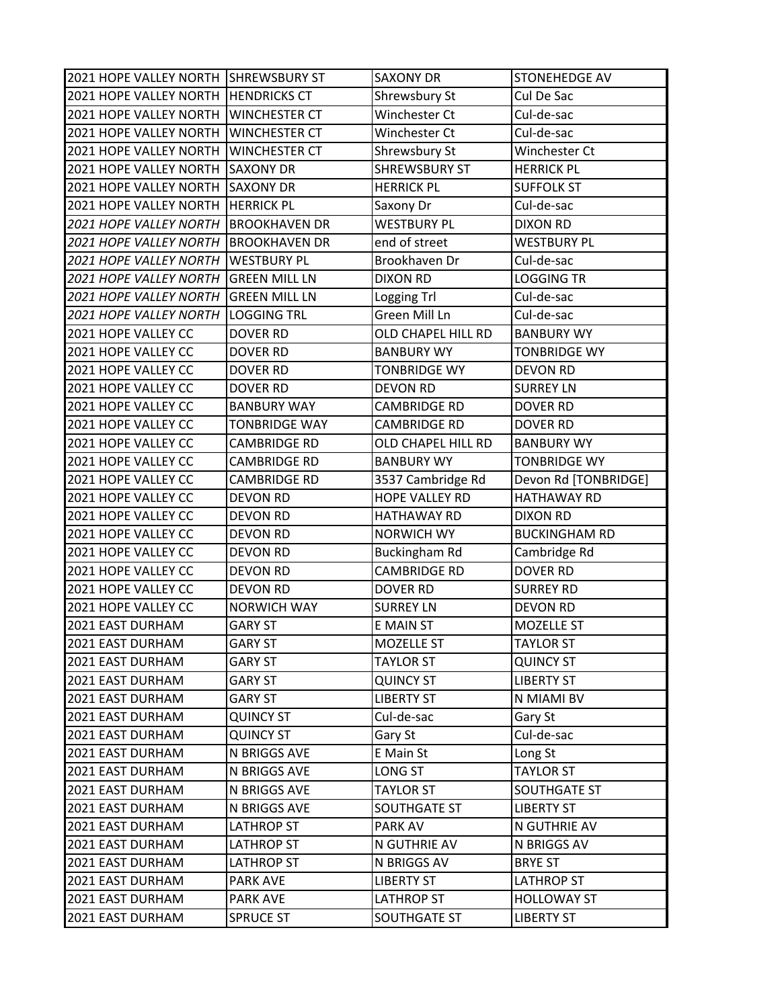| 2021 HOPE VALLEY NORTH SHREWSBURY ST  |                      | <b>SAXONY DR</b>      | STONEHEDGE AV        |
|---------------------------------------|----------------------|-----------------------|----------------------|
| 2021 HOPE VALLEY NORTH   HENDRICKS CT |                      | Shrewsbury St         | Cul De Sac           |
| 2021 HOPE VALLEY NORTH WINCHESTER CT  |                      | Winchester Ct         | Cul-de-sac           |
| 2021 HOPE VALLEY NORTH                | <b>WINCHESTER CT</b> | Winchester Ct         | Cul-de-sac           |
| 2021 HOPE VALLEY NORTH WINCHESTER CT  |                      | Shrewsbury St         | Winchester Ct        |
| 2021 HOPE VALLEY NORTH SAXONY DR      |                      | <b>SHREWSBURY ST</b>  | <b>HERRICK PL</b>    |
| 2021 HOPE VALLEY NORTH SAXONY DR      |                      | <b>HERRICK PL</b>     | <b>SUFFOLK ST</b>    |
| 2021 HOPE VALLEY NORTH HERRICK PL     |                      | Saxony Dr             | Cul-de-sac           |
| 2021 HOPE VALLEY NORTH                | <b>BROOKHAVEN DR</b> | <b>WESTBURY PL</b>    | <b>DIXON RD</b>      |
| 2021 HOPE VALLEY NORTH BROOKHAVEN DR  |                      | end of street         | <b>WESTBURY PL</b>   |
| 2021 HOPE VALLEY NORTH WESTBURY PL    |                      | Brookhaven Dr         | Cul-de-sac           |
| 2021 HOPE VALLEY NORTH GREEN MILL LN  |                      | <b>DIXON RD</b>       | <b>LOGGING TR</b>    |
| 2021 HOPE VALLEY NORTH                | <b>GREEN MILL LN</b> | Logging Trl           | Cul-de-sac           |
| 2021 HOPE VALLEY NORTH                | <b>LOGGING TRL</b>   | Green Mill Ln         | Cul-de-sac           |
| 2021 HOPE VALLEY CC                   | <b>DOVER RD</b>      | OLD CHAPEL HILL RD    | <b>BANBURY WY</b>    |
| 2021 HOPE VALLEY CC                   | <b>DOVER RD</b>      | <b>BANBURY WY</b>     | <b>TONBRIDGE WY</b>  |
| 2021 HOPE VALLEY CC                   | <b>DOVER RD</b>      | <b>TONBRIDGE WY</b>   | <b>DEVON RD</b>      |
| 2021 HOPE VALLEY CC                   | <b>DOVER RD</b>      | <b>DEVON RD</b>       | <b>SURREY LN</b>     |
| 2021 HOPE VALLEY CC                   | <b>BANBURY WAY</b>   | <b>CAMBRIDGE RD</b>   | <b>DOVER RD</b>      |
| 2021 HOPE VALLEY CC                   | <b>TONBRIDGE WAY</b> | <b>CAMBRIDGE RD</b>   | <b>DOVER RD</b>      |
| 2021 HOPE VALLEY CC                   | <b>CAMBRIDGE RD</b>  | OLD CHAPEL HILL RD    | <b>BANBURY WY</b>    |
| 2021 HOPE VALLEY CC                   | <b>CAMBRIDGE RD</b>  | <b>BANBURY WY</b>     | <b>TONBRIDGE WY</b>  |
| 2021 HOPE VALLEY CC                   | <b>CAMBRIDGE RD</b>  | 3537 Cambridge Rd     | Devon Rd [TONBRIDGE] |
| 2021 HOPE VALLEY CC                   | <b>DEVON RD</b>      | <b>HOPE VALLEY RD</b> | <b>HATHAWAY RD</b>   |
| 2021 HOPE VALLEY CC                   | <b>DEVON RD</b>      | <b>HATHAWAY RD</b>    | <b>DIXON RD</b>      |
| 2021 HOPE VALLEY CC                   | <b>DEVON RD</b>      | <b>NORWICH WY</b>     | <b>BUCKINGHAM RD</b> |
| 2021 HOPE VALLEY CC                   | <b>DEVON RD</b>      | <b>Buckingham Rd</b>  | Cambridge Rd         |
| 2021 HOPE VALLEY CC                   | <b>DEVON RD</b>      | <b>CAMBRIDGE RD</b>   | <b>DOVER RD</b>      |
| 2021 HOPE VALLEY CC                   | <b>DEVON RD</b>      | DOVER RD              | <b>SURREY RD</b>     |
| 2021 HOPE VALLEY CC                   | <b>NORWICH WAY</b>   | <b>SURREY LN</b>      | <b>DEVON RD</b>      |
| 2021 EAST DURHAM                      | <b>GARY ST</b>       | <b>E MAIN ST</b>      | MOZELLE ST           |
| 2021 EAST DURHAM                      | <b>GARY ST</b>       | MOZELLE ST            | <b>TAYLOR ST</b>     |
| 2021 EAST DURHAM                      | <b>GARY ST</b>       | <b>TAYLOR ST</b>      | <b>QUINCY ST</b>     |
| 2021 EAST DURHAM                      | <b>GARY ST</b>       | <b>QUINCY ST</b>      | <b>LIBERTY ST</b>    |
| 2021 EAST DURHAM                      | <b>GARY ST</b>       | <b>LIBERTY ST</b>     | N MIAMI BV           |
| 2021 EAST DURHAM                      | <b>QUINCY ST</b>     | Cul-de-sac            | Gary St              |
| 2021 EAST DURHAM                      | <b>QUINCY ST</b>     | Gary St               | Cul-de-sac           |
| 2021 EAST DURHAM                      | N BRIGGS AVE         | E Main St             | Long St              |
| 2021 EAST DURHAM                      | N BRIGGS AVE         | LONG ST               | <b>TAYLOR ST</b>     |
| 2021 EAST DURHAM                      | N BRIGGS AVE         | <b>TAYLOR ST</b>      | SOUTHGATE ST         |
| 2021 EAST DURHAM                      | N BRIGGS AVE         | <b>SOUTHGATE ST</b>   | <b>LIBERTY ST</b>    |
| 2021 EAST DURHAM                      | <b>LATHROP ST</b>    | PARK AV               | N GUTHRIE AV         |
| 2021 EAST DURHAM                      | LATHROP ST           | N GUTHRIE AV          | N BRIGGS AV          |
| 2021 EAST DURHAM                      | <b>LATHROP ST</b>    | N BRIGGS AV           | <b>BRYE ST</b>       |
| 2021 EAST DURHAM                      | <b>PARK AVE</b>      | <b>LIBERTY ST</b>     | <b>LATHROP ST</b>    |
| 2021 EAST DURHAM                      | <b>PARK AVE</b>      | <b>LATHROP ST</b>     | <b>HOLLOWAY ST</b>   |
| 2021 EAST DURHAM                      | <b>SPRUCE ST</b>     | <b>SOUTHGATE ST</b>   | <b>LIBERTY ST</b>    |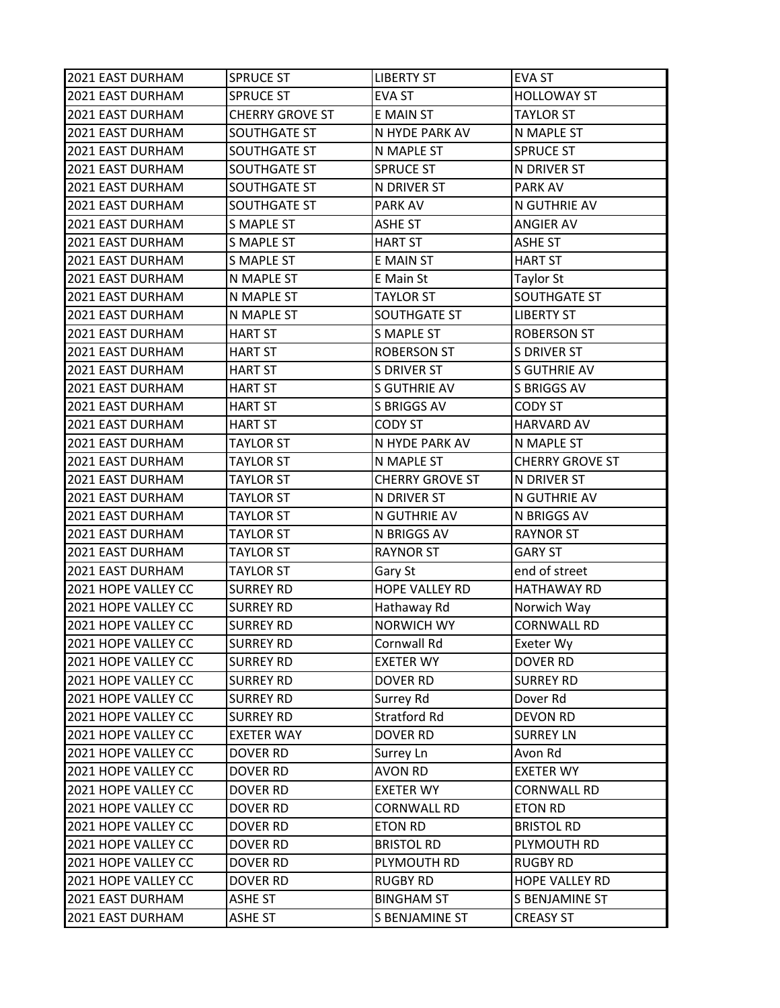| 2021 EAST DURHAM    | <b>SPRUCE ST</b>       | <b>LIBERTY ST</b>      | <b>EVA ST</b>          |
|---------------------|------------------------|------------------------|------------------------|
| 2021 EAST DURHAM    | <b>SPRUCE ST</b>       | <b>EVA ST</b>          | <b>HOLLOWAY ST</b>     |
| 2021 EAST DURHAM    | <b>CHERRY GROVE ST</b> | E MAIN ST              | <b>TAYLOR ST</b>       |
| 2021 EAST DURHAM    | SOUTHGATE ST           | N HYDE PARK AV         | N MAPLE ST             |
| 2021 EAST DURHAM    | SOUTHGATE ST           | N MAPLE ST             | <b>SPRUCE ST</b>       |
| 2021 EAST DURHAM    | SOUTHGATE ST           | <b>SPRUCE ST</b>       | N DRIVER ST            |
| 2021 EAST DURHAM    | SOUTHGATE ST           | N DRIVER ST            | PARK AV                |
| 2021 EAST DURHAM    | SOUTHGATE ST           | PARK AV                | N GUTHRIE AV           |
| 2021 EAST DURHAM    | <b>S MAPLE ST</b>      | <b>ASHE ST</b>         | <b>ANGIER AV</b>       |
| 2021 EAST DURHAM    | <b>S MAPLE ST</b>      | <b>HART ST</b>         | <b>ASHE ST</b>         |
| 2021 EAST DURHAM    | S MAPLE ST             | E MAIN ST              | <b>HART ST</b>         |
| 2021 EAST DURHAM    | N MAPLE ST             | E Main St              | <b>Taylor St</b>       |
| 2021 EAST DURHAM    | N MAPLE ST             | <b>TAYLOR ST</b>       | SOUTHGATE ST           |
| 2021 EAST DURHAM    | N MAPLE ST             | <b>SOUTHGATE ST</b>    | <b>LIBERTY ST</b>      |
| 2021 EAST DURHAM    | <b>HART ST</b>         | <b>S MAPLE ST</b>      | <b>ROBERSON ST</b>     |
| 2021 EAST DURHAM    | <b>HART ST</b>         | <b>ROBERSON ST</b>     | <b>S DRIVER ST</b>     |
| 2021 EAST DURHAM    | <b>HART ST</b>         | <b>S DRIVER ST</b>     | <b>S GUTHRIE AV</b>    |
| 2021 EAST DURHAM    | <b>HART ST</b>         | <b>S GUTHRIE AV</b>    | S BRIGGS AV            |
| 2021 EAST DURHAM    | <b>HART ST</b>         | S BRIGGS AV            | <b>CODY ST</b>         |
| 2021 EAST DURHAM    | <b>HART ST</b>         | <b>CODY ST</b>         | <b>HARVARD AV</b>      |
| 2021 EAST DURHAM    | <b>TAYLOR ST</b>       | N HYDE PARK AV         | N MAPLE ST             |
| 2021 EAST DURHAM    | <b>TAYLOR ST</b>       | N MAPLE ST             | <b>CHERRY GROVE ST</b> |
| 2021 EAST DURHAM    | <b>TAYLOR ST</b>       | <b>CHERRY GROVE ST</b> | N DRIVER ST            |
| 2021 EAST DURHAM    | TAYLOR ST              | N DRIVER ST            | N GUTHRIE AV           |
| 2021 EAST DURHAM    | <b>TAYLOR ST</b>       | N GUTHRIE AV           | N BRIGGS AV            |
| 2021 EAST DURHAM    | <b>TAYLOR ST</b>       | N BRIGGS AV            | <b>RAYNOR ST</b>       |
| 2021 EAST DURHAM    | <b>TAYLOR ST</b>       | <b>RAYNOR ST</b>       | <b>GARY ST</b>         |
| 2021 EAST DURHAM    | <b>TAYLOR ST</b>       | Gary St                | end of street          |
| 2021 HOPE VALLEY CC | <b>SURREY RD</b>       | HOPE VALLEY RD         | <b>HATHAWAY RD</b>     |
| 2021 HOPE VALLEY CC | <b>SURREY RD</b>       | Hathaway Rd            | Norwich Way            |
| 2021 HOPE VALLEY CC | <b>SURREY RD</b>       | <b>NORWICH WY</b>      | <b>CORNWALL RD</b>     |
| 2021 HOPE VALLEY CC | <b>SURREY RD</b>       | Cornwall Rd            | Exeter Wy              |
| 2021 HOPE VALLEY CC | <b>SURREY RD</b>       | <b>EXETER WY</b>       | <b>DOVER RD</b>        |
| 2021 HOPE VALLEY CC | <b>SURREY RD</b>       | DOVER RD               | <b>SURREY RD</b>       |
| 2021 HOPE VALLEY CC | <b>SURREY RD</b>       | Surrey Rd              | Dover Rd               |
| 2021 HOPE VALLEY CC | <b>SURREY RD</b>       | <b>Stratford Rd</b>    | <b>DEVON RD</b>        |
| 2021 HOPE VALLEY CC | <b>EXETER WAY</b>      | <b>DOVER RD</b>        | <b>SURREY LN</b>       |
| 2021 HOPE VALLEY CC | <b>DOVER RD</b>        | Surrey Ln              | Avon Rd                |
| 2021 HOPE VALLEY CC | DOVER RD               | <b>AVON RD</b>         | <b>EXETER WY</b>       |
| 2021 HOPE VALLEY CC | DOVER RD               | <b>EXETER WY</b>       | <b>CORNWALL RD</b>     |
| 2021 HOPE VALLEY CC | DOVER RD               | <b>CORNWALL RD</b>     | <b>ETON RD</b>         |
| 2021 HOPE VALLEY CC | DOVER RD               | <b>ETON RD</b>         | <b>BRISTOL RD</b>      |
| 2021 HOPE VALLEY CC | DOVER RD               | <b>BRISTOL RD</b>      | PLYMOUTH RD            |
| 2021 HOPE VALLEY CC | DOVER RD               | PLYMOUTH RD            | <b>RUGBY RD</b>        |
| 2021 HOPE VALLEY CC | DOVER RD               | <b>RUGBY RD</b>        | HOPE VALLEY RD         |
| 2021 EAST DURHAM    | <b>ASHE ST</b>         | <b>BINGHAM ST</b>      | S BENJAMINE ST         |
| 2021 EAST DURHAM    | ASHE ST                | S BENJAMINE ST         | <b>CREASY ST</b>       |